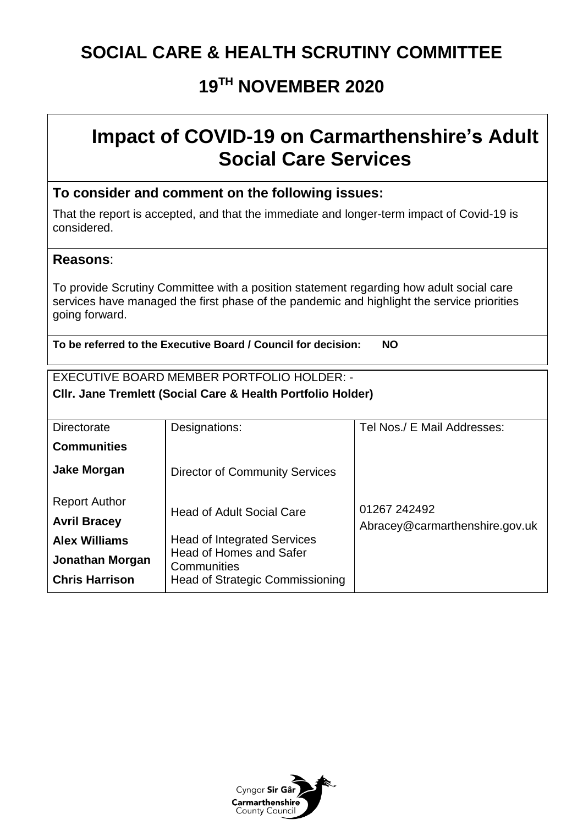### **SOCIAL CARE & HEALTH SCRUTINY COMMITTEE**

### **19 TH NOVEMBER 2020**

## **Impact of COVID-19 on Carmarthenshire's Adult Social Care Services**

### **To consider and comment on the following issues:**

That the report is accepted, and that the immediate and longer-term impact of Covid-19 is considered.

### **Reasons**:

To provide Scrutiny Committee with a position statement regarding how adult social care services have managed the first phase of the pandemic and highlight the service priorities going forward.

**To be referred to the Executive Board / Council for decision: NO** 

#### EXECUTIVE BOARD MEMBER PORTFOLIO HOLDER: - **Cllr. Jane Tremlett (Social Care & Health Portfolio Holder)**

| Directorate            | Designations:                                 | Tel Nos./ E Mail Addresses:                    |  |  |  |
|------------------------|-----------------------------------------------|------------------------------------------------|--|--|--|
| <b>Communities</b>     |                                               |                                                |  |  |  |
| <b>Jake Morgan</b>     | <b>Director of Community Services</b>         |                                                |  |  |  |
| <b>Report Author</b>   |                                               |                                                |  |  |  |
| <b>Avril Bracey</b>    | <b>Head of Adult Social Care</b>              | 01267 242492<br>Abracey@carmarthenshire.gov.uk |  |  |  |
| <b>Alex Williams</b>   | <b>Head of Integrated Services</b>            |                                                |  |  |  |
| <b>Jonathan Morgan</b> | <b>Head of Homes and Safer</b><br>Communities |                                                |  |  |  |
| <b>Chris Harrison</b>  | <b>Head of Strategic Commissioning</b>        |                                                |  |  |  |

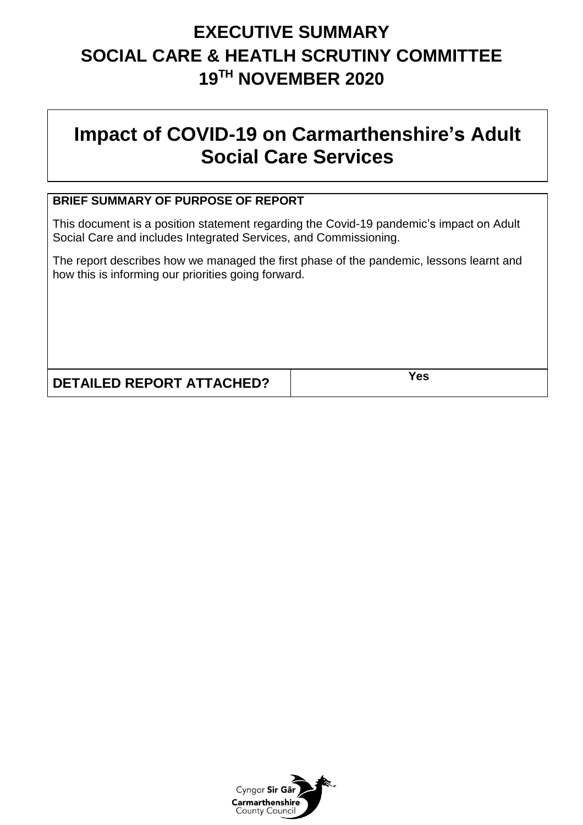# **EXECUTIVE SUMMARY SOCIAL CARE & HEATLH SCRUTINY COMMITTEE 19 TH NOVEMBER 2020**

# **Impact of COVID-19 on Carmarthenshire's Adult Social Care Services**

### **BRIEF SUMMARY OF PURPOSE OF REPORT**

This document is a position statement regarding the Covid-19 pandemic's impact on Adult Social Care and includes Integrated Services, and Commissioning.

The report describes how we managed the first phase of the pandemic, lessons learnt and how this is informing our priorities going forward.

**DETAILED REPORT ATTACHED? Yes**

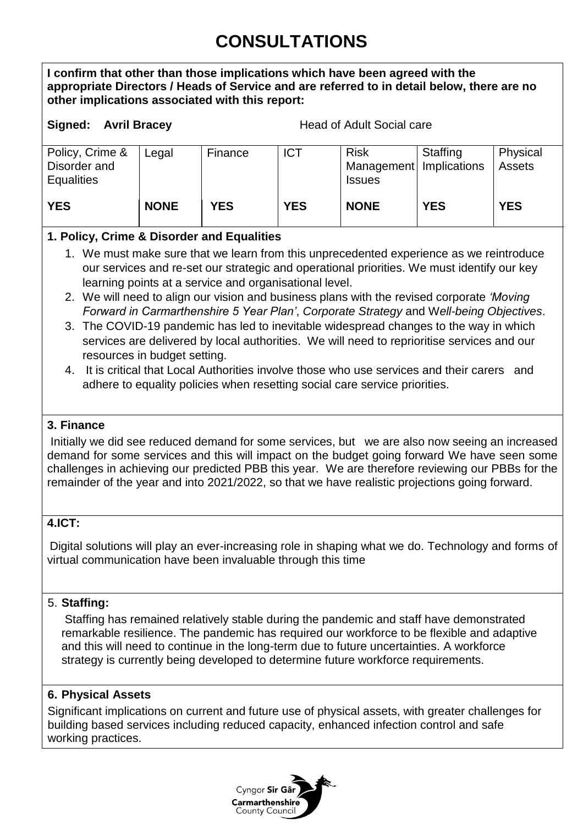# **CONSULTATIONS**

**I confirm that other than those implications which have been agreed with the appropriate Directors / Heads of Service and are referred to in detail below, there are no other implications associated with this report:**

**Signed: Avril Bracey** Head of Adult Social care

| Policy, Crime &<br>Disorder and<br>Equalities | Legal       | Finance    | <b>ICT</b> | <b>Risk</b><br>Management   Implications<br><b>Issues</b> | Staffing   | Physical<br><b>Assets</b> |
|-----------------------------------------------|-------------|------------|------------|-----------------------------------------------------------|------------|---------------------------|
| <b>YES</b>                                    | <b>NONE</b> | <b>YES</b> | <b>YES</b> | <b>NONE</b>                                               | <b>YES</b> | <b>YES</b>                |

### **1. Policy, Crime & Disorder and Equalities**

- 1. We must make sure that we learn from this unprecedented experience as we reintroduce our services and re-set our strategic and operational priorities. We must identify our key learning points at a service and organisational level.
- 2. We will need to align our vision and business plans with the revised corporate *'Moving Forward in Carmarthenshire 5 Year Plan'*, *Corporate Strategy* and W*ell-being Objectives*.
- 3. The COVID-19 pandemic has led to inevitable widespread changes to the way in which services are delivered by local authorities. We will need to reprioritise services and our resources in budget setting.
- 4. It is critical that Local Authorities involve those who use services and their carers and adhere to equality policies when resetting social care service priorities.

### **3. Finance**

Initially we did see reduced demand for some services, but we are also now seeing an increased demand for some services and this will impact on the budget going forward We have seen some challenges in achieving our predicted PBB this year. We are therefore reviewing our PBBs for the remainder of the year and into 2021/2022, so that we have realistic projections going forward.

### **4.ICT:**

Digital solutions will play an ever-increasing role in shaping what we do. Technology and forms of virtual communication have been invaluable through this time

### 5. **Staffing:**

Staffing has remained relatively stable during the pandemic and staff have demonstrated remarkable resilience. The pandemic has required our workforce to be flexible and adaptive and this will need to continue in the long-term due to future uncertainties. A workforce strategy is currently being developed to determine future workforce requirements.

### **6. Physical Assets**

Significant implications on current and future use of physical assets, with greater challenges for building based services including reduced capacity, enhanced infection control and safe working practices.